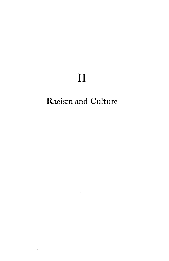# II

## Racism and Culture

 $\ddot{\phantom{1}}$ 

 $\ddot{\phantom{0}}$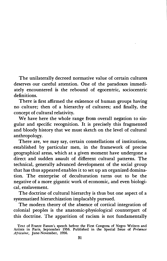The unilaterally decreed normative value of certain cultures deserves our careful attention. One of the paradoxes immediately encountered is the rebound of egocentric, sociocentric definitions.

There is first affirmed the existence of human groups having no culture; then of a hierarchy of cultures; and finally. the concept of cultural relativity.

We have here the whole range from overall negation to singular and specific recognition. It is precisely this fragmented and bloody history that we must sketch on the level of cultural anthropology.

There are, we may say, certain constellations of institutions, established by particular men, in the framework of precise geographical areas, which at a given moment have undergone a direct and sudden assault of different cultural patterns. The technical, generally advanced development of the social group that has thus appeared enables it to set up an organized domination. The enterprise of deculturation turns out to be the negative of a more gigantic work of economic, and even biological, enslavement.

The doctrine of cultural hierarchy is thus but one aspect of a systematized hierarchization implacably pursued.

The modem theory of the absence of cortical integration of colonial peoples is the anatomic-physiological counterpart of this doctrine. The apparition of racism is not fundamentally

Text of Frantz Fanon's speech before the First Congress of Negro Writers and Artists in Paris, September 1956. Published in the Special Issue of *Présence Africaine*, June-November, 1956.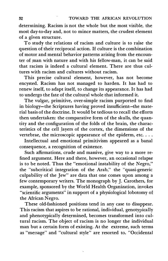determining. Racism is not the whole but the most visible, the most day-to-day and, not to mince matters, the crudest element of a given structure.

To study the relations of racism and culture is to raise the question of their reciprocal action. If culture is the combination of motor and mental behavior patterns arising from the encounter of man with nature and with his fellow-man, it can be said that racism is indeed a cultural element. There are thus cultures with racism and cultures without racism.

This precise cultural element, however, has not become encysted. Racism has not managed to harden. It has had to renew itself, to adapt itself, to change its appearance. It has had to undergo the fate of the cultural whole that informed it.

The vulgar, primitive. over-simple racism purported to find in biology-the Scriptures having proved insufficient-the material basis of the doctrine. It would be tedious to recall the efforts then undertaken: the comparative form of the skulls, the quantity and the configuration of the folds of the brain, the characteristics of the cell layers of the cortex, the dimensions of the vertebrae, the microscopic appearance of the epiderm, etc.  $\dots$ 

Intellectual and emotional primitivism appeared as a banal consequence, a recognition of existence.

Such affirmations, crude and massive, give way to a more refined argument. Here and there, however, an occasional relapse is to be noted. Thus the "emotional instability of the Negro," the "subcritical integration of the Arab," the "quasi-generic culpability of the Jew" are data that one comes upon among a few contemporary writers. The monograph by J. Carothers, for example, sponsored by the World Health Organization, invokes "scientific arguments" in support of a physiological lobotomy of the African Negro.

These old-fashioned positions tend in any case to disappear. This racism that aspires to be rational, individual, genotypically and phenotypically determined, becomes transformed into cultural racism. The object of racism is no longer the individual man but a certain form of existing. At the extreme, such terms as "message" and "cultural style" are resorted to. "Occidental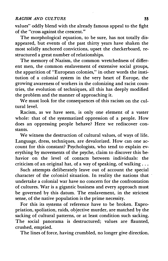#### RACISM AND CULTURE

values" oddly blend with the already famous appeal to the fight of the "cross against the crescent. "

The morphological equation, to be sure, has not totally disappeared, but events of the past thirty years have shaken the most solidly anchored convictions, upset the checkerboard, restructured a great number of relationships.

The memory of Nazism, the common wretchedness of different men, the common enslavement of extensive social groups, the apparition of "European colonies," in other words the institution of a colonial system in the very heart of Europe, the growing awareness of workers in the colonizing and racist countries, the evolution of techniques, all this has deeply modified the problem and the manner of approaching it.

We must look for the consequences of this racism on the cultural level.

Racism, as we have seen, is only one element of a vaster whole: that of the systematized oppression of a people. How does an oppressing people behave? Here we rediscover constants.

We witness the destruction of cultural values, of ways of life. Language, dress, techniques, are devalorized. How can one account for this constant? Psychologists, who tend to explain everything by movements of the psyche, claim to discover this behavior on the level of contacts between individuals: the criticism of an original hat, of a way of speaking, of walking ...

Such attempts deliberately leave out of account the special character of the colonial situation. In reality the nations that undertake a colonial war have no concern for the confrontation of cultures. War is a gigantic business and every approach must be governed by this datum. The enslavement, in the strictest sense, of the native population is the prime necessity.

For this its systems of reference have to be broken. Expropriation, spoliation, raids, objective murder, are matched by the sacking of cultural patterns, or at least condition such sacking. The social panorama is destructured; values are flaunted, crushed, emptied.

The lines of force, having crumbled, no longer give direction.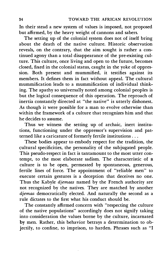In their stead a new system of values is imposed, not proposed but affirmed, by the heavy weight of cannons and sabers.

The setting up of the colonial system does not of itself bring about the death of the native culture. Historic observation reveals, on the contrary, that the aim sought is rather a continued agony than a total disappearance of the pre-existing culture. This culture, once living and open to the future, becomes closed, fixed in the colonial status, caught in the yoke of oppression. Both present and mummified, it testifies against its members. It defines them in fact without appeal. The cultural mummification leads to a mummification of individual thinking. The apathy so universally noted among colonial peoples is but the logical consequence of this operation. The reproach of inertia constantly directed at "the native" is utterly dishonest. As though it were possible for a man to evolve otherwise than within the framework of a culture that recognizes him and that he decides to assume.

Thus we witness the setting up of archaic, inert institutions, functioning under the oppressor's supervision and patterned like a caricature of formerly fertile institutions .. .

These bodies appear to embody respect for the tradition, the cultural specificities, the personality of the subjugated people. This pseudo-respect in fact is tantamount to the most utter contempt, to the most elaborate sadism. The characteristic of a culture is to be open, permeated by spontaneous, generous, fertile lines of force. The appointment of "reliable men" to execute certain gestures is a deception that deceives no one. Thus the Kabyle *djemaas* named by the French authority are not recognized by the natives. They are matched by another djemaa democratically elected. And naturally the second as a rule dictates to the first what his conduct should be.

The constantly affirmed concern with "respecting the culture of the native populations" accordingly does not signify taking into consideration the values borne by the culture, incarnated by men. Rather, this behavior betrays a determination to objectify, to confine, to imprison, to harden. Phrases such as "I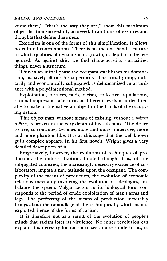know them," "that's the way they are," show this maximum objectification successfully achieved. I can think of gestures and thoughts that define these men.

Exoticism is one of the forms of this simplification. It allows no cultural confrontation. There is on the one hand a culture in which qualities of dynamism, of growth, of depth can be recognized. As against this, we find characteristics, curiosities, things, never a structure.

Thus in an initial phase the occupant establishes his domination, massively affirms his superiority. The social group, militarily and economically subjugated, is dehumanized in accordance with a polydimensional method.

Exploitation, tortures, raids, racism, collective liquidations. rational oppression take turns at different levels in order literally to make of the native an object in the hands of the occupying nation.

This object man, without means of existing, without a raison d'être, is broken in the very depth of his substance. The desire to live, to continue, becomes more and more indecisive, more and more phantom-like. It is at this stage that the well-known guilt complex appears. In his first novels, Wright gives a very detailed description of it.

Progressively, however, the evolution of techniques of production, the industrialization, limited though it is, of the subjugated countries, the increasingly necessary existence of collaborators, impose a new attitude upon the occupant. The complexity of the means of production, the evolution of economic relations inevitably involving the evolution of ideologies, unbalance the system. Vulgar racism in its biological form corresponds to the period of crude exploitation of man's arms and legs. The perfecting of the means of production inevitably brings about the camouflage of the techniques by which man is exploited, hence of the forms of racism.

It is therefore not as a result of the evolution of people's minds that racism loses its virulence. No inner revolution can explain this necessity for racism to seek more subtle forms, to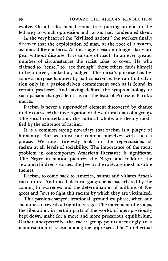evolve. On all sides men become free, putting an end to the lethargy to which oppression and racism had condemned them.

In the very heart of the "civilized nations" the workers finally discover that the exploitation of man, at the root of a system, assumes different faces. At this stage racism no longer dares appear without disguise. It is unsure of itself. In an ever greater number of circumstances the racist takes to cover. He who claimed to "sense," to "see through" those others, finds himself to be a target, looked at, judged. The racist's purpose has become a purpose haunted by bad conscience. He can find salvation only in a passion-driven commitment such as is found in certain psychoses. And having defined the symptomatology of such passion-charged deliria is not the least of Professor Baruk's merits.

Racism is never a super-added element discovered by chance in the course of the investigation of the cultural data of a group. The social constellation, the cultural whole, are deeply modified by the existence of racism.

It is a common saying nowadays that racism is a plague of humanity. But we must not content ourselves with such a phrase. We must tirelessly look for the repercussions of racism at all levels of sociability. The importance of the racist problem in contemporary American literature is significant. The Negro in motion pictures, the Negro and folklore, the Jew and children's stories, the Jew in the café, are inexhaustible themes.

Racism, to come back to America, haunts and vitiates American culture. And this dialectical gangrene is exacerbated by the coming to awareness and the determination of millions of Negroes and Jews to fight this racism by which they are victimized.

This passion-charged, irrational, groundless phase, when one examines it, reveals a frightful visage. The movement of groups, the liberation, in certain parts of the world, of men previously kept down, make for a more and more precarious equilibrium. Rather unexpectedly, the racist group points accusingly to a manifestation of racism among the oppressed. The "intellectual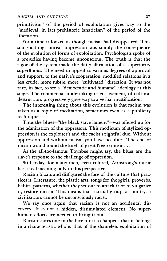primitivism" of the period of exploitation gives way to the "medieval, in fact prehistoric fanaticism" of the period of the liberation.

For a time it looked as though racism had disappeared. This soul-soothing, unreal impression was simply the consequence of the evolution of forms of exploitation. Psychologists spoke of a prejudice having become unconscious. The truth is that the rigor of the system made the daily affirmation of a superiority superfluous. The need to appeal to various degrees of approval and support, to the native's cooperation, modified relations in <sup>a</sup> less crude, more subtle, more "cultivated" direction. It was not rare, in fact, to see a "democratic and humane" ideology at this stage. The commercial undertaking of enslavement, of cultural destruction, progressively gave way to a verbal mystification.

The interesting thing about this evolution is that racism was taken as a topic of meditation, sometimes even as a publicity technique.

Thus the blues—"the black slave lament"—was offered up for the admiration of the oppressors. This modicum of stylized oppression is the exploiter's and the racist's rightful due. Without oppression and without racism you have no blues. The end of racism would sound the knell of great Negro music ...

As the all-too-famous Toynbee might say, the blues are the slave's response to the challenge of oppression.

Still today, for many men, even colored, Armstrong's music has a real meaning only in this perspective.

Racism bloats and disfigures the face of the culture that practices it. Literature, the plastic arts, songs for shopgirls, proverbs, habits, patterns, whether they set out to attack it or to vulgarize it, restore racism. This means that a social group, a country, a civilization, cannot be unconsciously racist.

We say once again that racism is not an accidental discovery. It is not a hidden, dissimulated element. No superhuman efforts are needed to bring it out.

Racism stares one in the face for it so happens that it belongs in a characteristic whole: that of the shameless exploitation of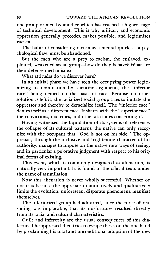one group of men by another which has reached a higher stage of technical development. This is why military and economic oppression generally precedes, makes possible, and legitimizes racism.

The habit·of considering racism as a mental quirk, as a psychological flaw, must be abandoned.

But the men who are a prey to racism, the enslaved, exploited, weakened social group-how do they behave? What are their defense mechanisms?

What attitudes do we discover here?

In an initial phase we have seen the occupying power legitimizing its domination by scientific arguments, the "inferior race" being denied on the basis of race. Because no other solution is left it, the racialized social group tries to imitate the oppressor and thereby to deracialize itself. The "inferior race" denies itself as a different race. It shares with the "superior race" the convictions, doctrines, and other attitudes concerning it.

Having witnessed the liquidation of its systems of reference, the collapse of its cultural patterns, the native can only recognize with the occupant that "God is not on his side." The oppressor, through the inclusive and frightening character of his authority, manages to impose on the native new ways of seeing, and in particular a pejorative judgment with respect to his original forms of existing.

This event, which is commonly designated as alienation, is naturally very important. It is found in the official texts under the name of assimilation.

Now this alienation is never wholly successful. Whether or not it is because the oppressor quantitatively and qualitatively limits the evolution, unforeseen, disparate phenomena manifest themselves.

The inferiorized group had admitted, since the force of reasoning was implacable, that its misfortunes resulted directly from its racial and cultural characteristics.

Guilt and inferority are the usual consequences of this dialectic. The oppressed then tries to escape these, on the one hand by proclaiming his total and unconditional adoption of the new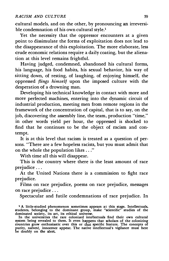#### RACISM AND CULTURE 39

cultural models, and on the other, by pronouncing an irreversible condemnation of his own cultural style.<sup>1</sup>

Yet the necessity that the oppressor encounters at a given point to dissimulate the forms of exploitation does not lead to the disappearance of this exploitation. The more elaborate, less crude economic relations require a daily coating, but the alienation at this level remains frightful.

Having judged, condemned, abandoned his cultural forms, his language, his food habits, his sexual behavior, his way of sitting down, of resting, of laughing, of enjoying himself, the oppressed flings himself upon the imposed culture with the desperation of a drowning man.

Developing his technical knowledge in contact with more and more perfected machines, entering into the dynamic circuit of industrial production, meeting men from remote regions in the framework of the concentration of capital, that is to say, on the job, discovering the assembly line, the team, production "time," in other words yield per hour, the oppressed is shocked to find that he continues to be the object of racism and contempt.

It is at this level that racism is treated as a question of persons. "There are a few hopeless racists, but you must admit that on the whole the population likes ... "

With time all this will disappear.

This is the country where there is the least amount of race prejudice ...

At the United Nations there is a commission to fight race prejudice.

Films on race prejudice, poems on race prejudice, messages on race prejudice ...

Spectacular and futile condemnations of race prejudice. In

<sup>1</sup>A little-studied phenomenon sometimes appears at this stage. Intellectuals, students, belonging to the dominant group, make "scientific" studies of tbe

dominated society, its art, its ethical universe. In the universities the rare colonized intellectuals find their own cultural system being revealed to them. It even happens that scholars of the colonizing countries grow enthusiastic over this or that specific feature. The concepts of purity. naivete, innocence appear. The native intellectual's vigilance must here be doubly on the alert.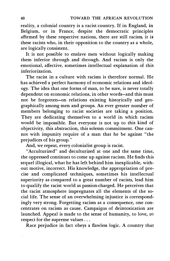reality, a colonial country is a racist country. If in England, in Belgium, or in France, despite the democratic principles affirmed by these respective nations, there are still racists, it is these racists who, in their opposition to the country as a whole, are logically consistent.

It is not possible to enslave men without logically making them inferior through and through. And racism is only the emotional, affective, sometimes intellectual explanation of this inferiorization.

The racist in a culture with racism is therefore normal. He has achieved a perfect harmony of economic relations and ideology. The idea that one forms of man, to be sure, is never totally dependent on economic relations, in other words-and this must not be forgotten-on relations existing historically and geographically among men and groups. An ever greater number of members belonging to racist societies are taking a position. They are dedicating themselves to a world in which racism would be impossible. But everyone is not up to this kind of objectivity, this abstraction, this solemn commitment. One cannot with impunity require of a man that he be against "the prejudices of his group."

And, we repeat, every colonialist group is racist.

"Acculturized" and deculturized at one and the same time, the oppressed continues to come up against racism. He finds this sequel illogical, what he has left behind him inexplicable, without motive, incorrect. His knowledge, the appropriation of precise and complicated techniques, sometimes his intellectual superiority as compared to a great number of racists, lead him to qualify the racist world as passion-charged. He perceives that the racist atmosphere impregnates all the elements of the social life. The sense of an overwhelming injustice is correspondingly very strong. Forgetting racism as a consequence, one concentrates on racism as cause. Campaigns of deintoxication are launched. Appeal is made to the sense of humanity, to love, to respect for the supreme values ...

Race prejudice in fact obeys a flawless logic. A country that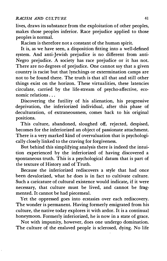lives, draws its substance from the exploitation of other peoples, makes those peoples inferior. Race prejudice applied to those peoples is normal.

Racism is therefore not a constant of the human spirit.

It is, as we have seen, a disposition fitting into a well-defined system. And anti-Jewish prejudice is no different from anti-Negro prejudice. A society has race prejudice or it has not. There are no degrees of prejudice. One cannot say that a given country is racist but that lynchings or extermination camps are not to be found there. The truth is that all that and still other things exist on the horizon. These virtualities, these latencies circulate, carried by the life-stream of psycho-affective, economic relations . ..

Discovering the futility of his alienation, his progressive deprivation, the inferiorized individual, after this phase of deculturation, of extraneousness, comes back to his original positions.

This culture, abandoned, sloughed off, rejected, despised, becomes for the inferiorized an object of passionate attachment. There is a very marked kind of overvaluation that is psychologically closely linked to the craving for forgiveness.

But behind this simplifying analysis there is indeed the intuition experienced by the inferiorized of having discovered a spontaneous truth. This is a psychological datum that is part of the texture of History and of Truth.

Because the inferiorized rediscovers a style that had once been devalorized, what he does is in fact to cultivate culture. Such a caricature of cultural existence would indicate, if it were necessary, that culture must be lived, and cannot be fragmented. It cannot be had piecemeal.

Yet the oppressed goes into ecstasies over each rediscovery. The wonder is permanent. Having formerly emigrated from his culture, the native today explores it with ardor. It is a continual honeymoon. Formerly inferiorized, he is now in a state of grace .

. Not with impunity, however, does one undergo domination. The culture of the enslaved people is sclerosed, dying. No life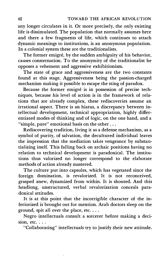any longer circulates in it. Or more precisely, the only existing life is dissimulated. The population that normally assumes here and there a few fragments of life, which continues to attach dynamic meanings to institutions, is an anonymous population. In a colonial system these are the traditionalists.

The former emigré, by the sudden ambiguity of his behavior, causes consternation. To the anonymity of the traditionalist he opposes a vehement and aggressive exhibitionism.

The state of grace and aggressiveness are the two constants found at this stage. Aggressiveness being the passion-charged mechanism making it possible to escape the sting of paradox.

Because the former emigré is in possession of precise techniques, because his level of action is in the framework of relations that are already complex, these rediscoveries assume an irrational aspect. There is an hiatus, a discrepancy between intellectual development, technical appropriation, highly differentiated modes of thinking and of logic, on the one hand, and a "simple, pure" emotional basis on the other ...

Rediscovering tradition, living it as a defense mechanism, as a symbol of purity, of salvation, the decultured individual leaves the impression that the mediation takes vengeance by substantializing itself. This falling back on archaic positions having no relation to technical development is paradoxical. The institutions thus valorized no longer correspond to the elaborate methods of action already mastered.

The culture put into capsules, which has vegetated since the foreign domination, is revalorized. It is not reconceived, grasped anew, dynamized from within. It is shouted. And this headlong, unstructured, verbal revalorization conceals paradoxical attitudes.

It is at this point that the incorrigible character of the inferiorized is brought out for mention. Arab doctors sleep on the ground, spit all over the place, etc.  $\ldots$ 

Negro intellectuals consult a sorcerer before making a decision,  $etc. . . .$ 

"Collaborating" intellectuals try to justify their new attitude.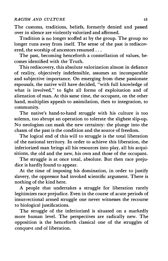### RACISM AND CULTURE 43

The customs, traditions, beliefs, formerly denied and passed over in silence are violently valorized and affirmed.

Tradition is no longer scoffed at by the group. The group no longer runs away from itself. The sense of the past is rediscovered, the worship of ancestors resumed ...

The past, becoming henceforth a constellation of values, becomes identified with the Truth.

This rediscovery, this absolute valorization almost in defiance of reality, objectively indefensible, assumes an incomparable and subjective importance. On emerging from these passionate espousals, the native will have decided, "with full knowledge of what is involved," to fight all forms of exploitation and of alienation of man. At this same time, the occupant, on the other hand, multiplies appeals to assimilation, then to integration, to community.

The native's hand-to-hand struggle with his culture is too solemn, too abrupt an operation to tolerate the slighest slip-up. No neologism can mask the new certainty: the plunge into the chasm of the past is the condition and the source of freedom.

The logical end of this will to struggle is the total liberation of the national territory. In order to achieve this liberation, the inferiorized man brings all his resources into play, all his acquisitions, the old and the new, his own and those of the occupant.

The struggle is at once total, absolute. But then race prejudice is hardly found to appear.

At the time of imposing his domination, in order to justify slavery, the oppressor had invoked scientific argument. There is nothing of the kind here.

A people that undertakes a struggle for liberation rarely legitimizes race prejudice. Even in the course of acute periods of insurrectional armed struggle one never witnesses the recourse to biological justifications.

The struggle of the inferiorized is situated on a markedly more human level. The perspectives are radically new. The opposition is the henceforth classical one of the struggles of conquest and of liberation.